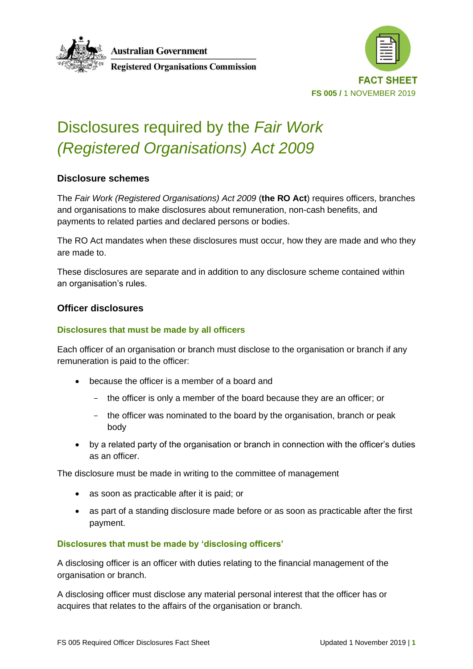



# Disclosures required by the *Fair Work (Registered Organisations) Act 2009*

# **Disclosure schemes**

The *Fair Work (Registered Organisations) Act 2009* (**the RO Act**) requires officers, branches and organisations to make disclosures about remuneration, non-cash benefits, and payments to related parties and declared persons or bodies.

The RO Act mandates when these disclosures must occur, how they are made and who they are made to.

These disclosures are separate and in addition to any disclosure scheme contained within an organisation's rules.

# **Officer disclosures**

### **Disclosures that must be made by all officers**

Each officer of an organisation or branch must disclose to the organisation or branch if any remuneration is paid to the officer:

- because the officer is a member of a board and
	- the officer is only a member of the board because they are an officer; or
	- the officer was nominated to the board by the organisation, branch or peak body
- by a related party of the organisation or branch in connection with the officer's duties as an officer.

The disclosure must be made in writing to the committee of management

- as soon as practicable after it is paid; or
- as part of a standing disclosure made before or as soon as practicable after the first payment.

#### **Disclosures that must be made by 'disclosing officers'**

A disclosing officer is an officer with duties relating to the financial management of the organisation or branch.

A disclosing officer must disclose any material personal interest that the officer has or acquires that relates to the affairs of the organisation or branch.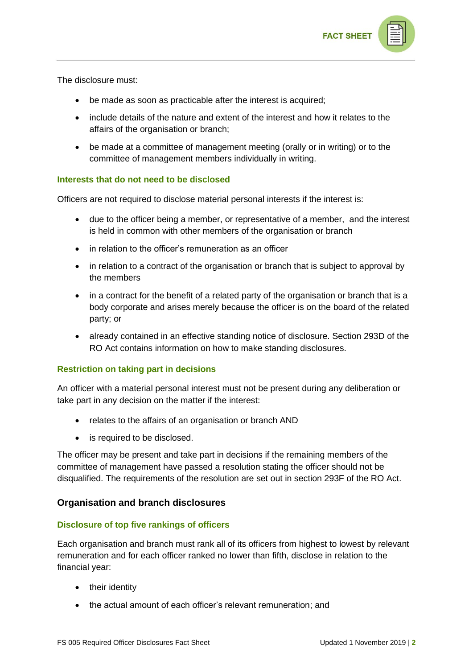

The disclosure must:

- be made as soon as practicable after the interest is acquired;
- include details of the nature and extent of the interest and how it relates to the affairs of the organisation or branch;
- be made at a committee of management meeting (orally or in writing) or to the committee of management members individually in writing.

#### **Interests that do not need to be disclosed**

Officers are not required to disclose material personal interests if the interest is:

- due to the officer being a member, or representative of a member, and the interest is held in common with other members of the organisation or branch
- in relation to the officer's remuneration as an officer
- in relation to a contract of the organisation or branch that is subject to approval by the members
- in a contract for the benefit of a related party of the organisation or branch that is a body corporate and arises merely because the officer is on the board of the related party; or
- already contained in an effective standing notice of disclosure. Section 293D of the RO Act contains information on how to make standing disclosures.

#### **Restriction on taking part in decisions**

An officer with a material personal interest must not be present during any deliberation or take part in any decision on the matter if the interest:

- relates to the affairs of an organisation or branch AND
- is required to be disclosed.

The officer may be present and take part in decisions if the remaining members of the committee of management have passed a resolution stating the officer should not be disqualified. The requirements of the resolution are set out in section 293F of the RO Act.

# **Organisation and branch disclosures**

#### **Disclosure of top five rankings of officers**

Each organisation and branch must rank all of its officers from highest to lowest by relevant remuneration and for each officer ranked no lower than fifth, disclose in relation to the financial year:

- their identity
- the actual amount of each officer's relevant remuneration; and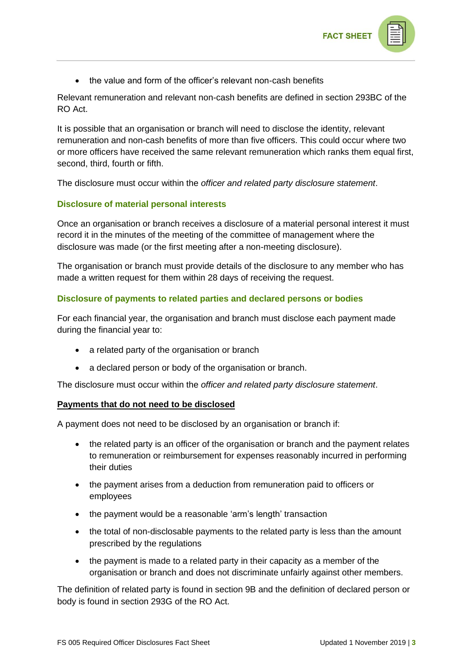

• the value and form of the officer's relevant non-cash benefits

Relevant remuneration and relevant non-cash benefits are defined in section 293BC of the RO Act.

It is possible that an organisation or branch will need to disclose the identity, relevant remuneration and non-cash benefits of more than five officers. This could occur where two or more officers have received the same relevant remuneration which ranks them equal first, second, third, fourth or fifth.

The disclosure must occur within the *officer and related party disclosure statement*.

## **Disclosure of material personal interests**

Once an organisation or branch receives a disclosure of a material personal interest it must record it in the minutes of the meeting of the committee of management where the disclosure was made (or the first meeting after a non-meeting disclosure).

The organisation or branch must provide details of the disclosure to any member who has made a written request for them within 28 days of receiving the request.

## **Disclosure of payments to related parties and declared persons or bodies**

For each financial year, the organisation and branch must disclose each payment made during the financial year to:

- a related party of the organisation or branch
- a declared person or body of the organisation or branch.

The disclosure must occur within the *officer and related party disclosure statement*.

#### **Payments that do not need to be disclosed**

A payment does not need to be disclosed by an organisation or branch if:

- the related party is an officer of the organisation or branch and the payment relates to remuneration or reimbursement for expenses reasonably incurred in performing their duties
- the payment arises from a deduction from remuneration paid to officers or employees
- the payment would be a reasonable 'arm's length' transaction
- the total of non-disclosable payments to the related party is less than the amount prescribed by the regulations
- the payment is made to a related party in their capacity as a member of the organisation or branch and does not discriminate unfairly against other members.

The definition of related party is found in section 9B and the definition of declared person or body is found in section 293G of the RO Act.